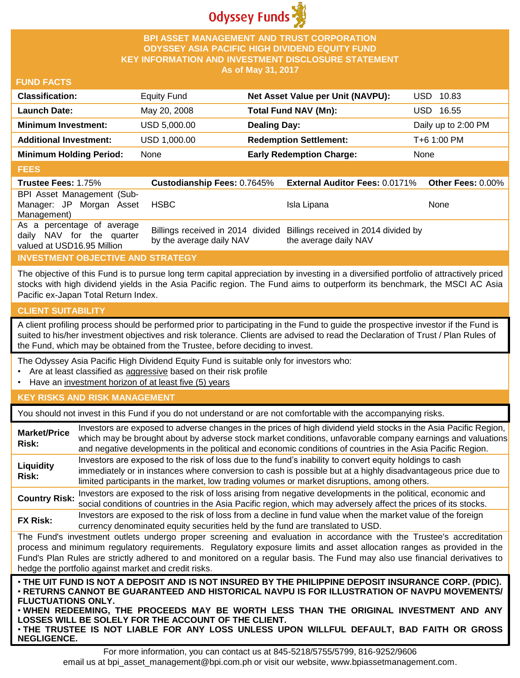

### **BPI ASSET MANAGEMENT AND TRUST CORPORATION ODYSSEY ASIA PACIFIC HIGH DIVIDEND EQUITY FUND KEY INFORMATION AND INVESTMENT DISCLOSURE STATEMENT As of May 31, 2017**

#### **FUND FACTS**

| <b>Classification:</b>         | <b>Equity Fund</b> | Net Asset Value per Unit (NAVPU): | USD 10.83           |
|--------------------------------|--------------------|-----------------------------------|---------------------|
| Launch Date:                   | May 20, 2008       | Total Fund NAV (Mn):              | JSD.<br>16.55       |
| <b>Minimum Investment:</b>     | USD 5,000.00       | <b>Dealing Day:</b>               | Daily up to 2:00 PM |
| <b>Additional Investment:</b>  | USD 1,000.00       | <b>Redemption Settlement:</b>     | T+6 1:00 PM         |
| <b>Minimum Holding Period:</b> | None               | <b>Early Redemption Charge:</b>   | None                |
|                                |                    |                                   |                     |

#### **FEES**

| <b>Trustee Fees: 1.75%</b>                                                            | <b>Custodianship Fees: 0.7645%</b> | <b>External Auditor Fees: 0.0171% Other Fees: 0.00%</b>                                         |      |
|---------------------------------------------------------------------------------------|------------------------------------|-------------------------------------------------------------------------------------------------|------|
| BPI Asset Management (Sub-<br>Manager: JP Morgan Asset<br>Management)                 | HSBC                               | Isla Lipana                                                                                     | None |
| As a percentage of average<br>daily NAV for the quarter<br>valued at USD16.95 Million | by the average daily NAV           | Billings received in 2014 divided Billings received in 2014 divided by<br>the average daily NAV |      |

# **INVESTMENT OBJECTIVE AND STRATEGY**

The objective of this Fund is to pursue long term capital appreciation by investing in a diversified portfolio of attractively priced stocks with high dividend yields in the Asia Pacific region. The Fund aims to outperform its benchmark, the MSCI AC Asia Pacific ex-Japan Total Return Index.

# **CLIENT SUITABILITY**

**NEGLIGENCE.**

A client profiling process should be performed prior to participating in the Fund to guide the prospective investor if the Fund is suited to his/her investment objectives and risk tolerance. Clients are advised to read the Declaration of Trust / Plan Rules of the Fund, which may be obtained from the Trustee, before deciding to invest.

The Odyssey Asia Pacific High Dividend Equity Fund is suitable only for investors who:

- Are at least classified as aggressive based on their risk profile
- Have an investment horizon of at least five (5) years

#### **KEY RISKS AND RISK MANAGEMENT**

You should not invest in this Fund if you do not understand or are not comfortable with the accompanying risks.

| <b>Market/Price</b><br>Risk:                                                                                                                                                                                                                                                                                                                                                                                                                                                 | Investors are exposed to adverse changes in the prices of high dividend yield stocks in the Asia Pacific Region,<br>which may be brought about by adverse stock market conditions, unfavorable company earnings and valuations<br>and negative developments in the political and economic conditions of countries in the Asia Pacific Region. |  |
|------------------------------------------------------------------------------------------------------------------------------------------------------------------------------------------------------------------------------------------------------------------------------------------------------------------------------------------------------------------------------------------------------------------------------------------------------------------------------|-----------------------------------------------------------------------------------------------------------------------------------------------------------------------------------------------------------------------------------------------------------------------------------------------------------------------------------------------|--|
| Liquidity<br>Risk:                                                                                                                                                                                                                                                                                                                                                                                                                                                           | Investors are exposed to the risk of loss due to the fund's inability to convert equity holdings to cash<br>immediately or in instances where conversion to cash is possible but at a highly disadvantageous price due to<br>limited participants in the market, low trading volumes or market disruptions, among others.                     |  |
| <b>Country Risk:</b>                                                                                                                                                                                                                                                                                                                                                                                                                                                         | Investors are exposed to the risk of loss arising from negative developments in the political, economic and<br>social conditions of countries in the Asia Pacific region, which may adversely affect the prices of its stocks.                                                                                                                |  |
| <b>FX Risk:</b>                                                                                                                                                                                                                                                                                                                                                                                                                                                              | Investors are exposed to the risk of loss from a decline in fund value when the market value of the foreign<br>currency denominated equity securities held by the fund are translated to USD.                                                                                                                                                 |  |
| The Fund's investment outlets undergo proper screening and evaluation in accordance with the Trustee's accreditation<br>process and minimum regulatory requirements. Regulatory exposure limits and asset allocation ranges as provided in the<br>Fund's Plan Rules are strictly adhered to and monitored on a regular basis. The Fund may also use financial derivatives to<br>hedge the portfolio against market and credit risks.                                         |                                                                                                                                                                                                                                                                                                                                               |  |
| . THE UIT FUND IS NOT A DEPOSIT AND IS NOT INSURED BY THE PHILIPPINE DEPOSIT INSURANCE CORP. (PDIC).<br>⋅RETURNS CANNOT BE GUARANTEED AND HISTORICAL NAVPU IS FOR ILLUSTRATION OF NAVPU MOVEMENTS/<br><b>FLUCTUATIONS ONLY.</b><br>. WHEN REDEEMING, THE PROCEEDS MAY BE WORTH LESS THAN THE ORIGINAL INVESTMENT AND ANY<br>LOSSES WILL BE SOLELY FOR THE ACCOUNT OF THE CLIENT.<br>. THE TRUSTEE IS NOT LIABLE FOR ANY LOSS UNLESS UPON WILLFUL DEFAULT, BAD FAITH OR GROSS |                                                                                                                                                                                                                                                                                                                                               |  |

For more information, you can contact us at 845-5218/5755/5799, 816-9252/9606 email us at bpi\_asset\_management@bpi.com.ph or visit our website, www.bpiassetmanagement.com.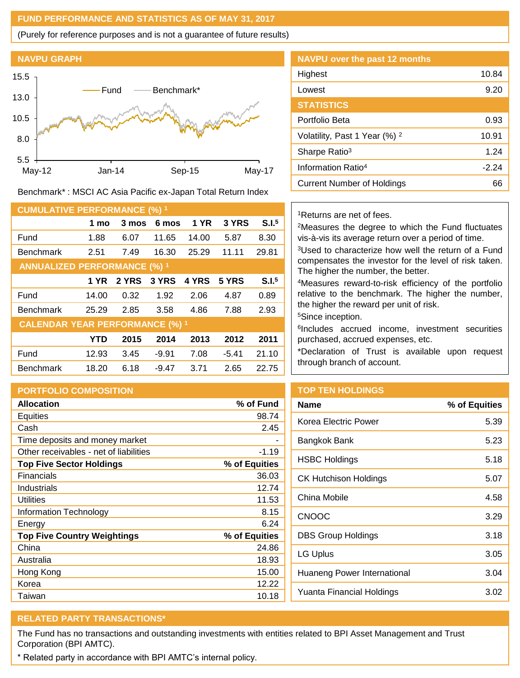## **FUND PERFORMANCE AND STATISTICS AS OF MAY 31, 2017**

(Purely for reference purposes and is not a guarantee of future results)



Benchmark\* : MSCI AC Asia Pacific ex-Japan Total Return Index

| <b>CUMULATIVE PERFORMANCE (%) 1</b>    |            |       |         |             |         |                   |
|----------------------------------------|------------|-------|---------|-------------|---------|-------------------|
|                                        | 1 mo       | 3 mos | 6 mos   | <b>1 YR</b> | 3 YRS   | S.I. <sup>5</sup> |
| Fund                                   | 1.88       | 6.07  | 11.65   | 14.00       | 5.87    | 8.30              |
| <b>Benchmark</b>                       | 2.51       | 7.49  | 16.30   | 25.29       | 11.11   | 29.81             |
| <b>ANNUALIZED PERFORMANCE (%) 1</b>    |            |       |         |             |         |                   |
|                                        | 1 YR       | 2 YRS | 3 YRS   | 4 YRS       | 5 YRS   | S.I. <sup>5</sup> |
| Fund                                   | 14.00      | 0.32  | 1.92    | 2.06        | 4.87    | 0.89              |
| <b>Benchmark</b>                       | 25.29      | 2.85  | 3.58    | 4.86        | 7.88    | 2.93              |
| <b>CALENDAR YEAR PERFORMANCE (%) 1</b> |            |       |         |             |         |                   |
|                                        | <b>YTD</b> | 2015  | 2014    | 2013        | 2012    | 2011              |
| Fund                                   | 12.93      | 3.45  | $-9.91$ | 7.08        | $-5.41$ | 21.10             |
| <b>Benchmark</b>                       | 18.20      | 6.18  | $-9.47$ | 3.71        | 2.65    | 22.75             |

# **PORTFOLIO COMPOSITION**

| <b>Allocation</b>                      | % of Fund     |
|----------------------------------------|---------------|
| Equities                               | 98.74         |
| Cash                                   | 2.45          |
| Time deposits and money market         |               |
| Other receivables - net of liabilities | $-1.19$       |
| <b>Top Five Sector Holdings</b>        | % of Equities |
| Financials                             | 36.03         |
| Industrials                            | 12.74         |
| Utilities                              | 11.53         |
| Information Technology                 | 8.15          |
| Energy                                 | 6.24          |
| <b>Top Five Country Weightings</b>     | % of Equities |
| China                                  | 24.86         |
| Australia                              | 18.93         |
| Hong Kong                              | 15.00         |
| Korea                                  | 12.22         |
| Taiwan                                 | 10.18         |

| <b>NAVPU over the past 12 months</b>     |       |
|------------------------------------------|-------|
| Highest                                  | 10.84 |
| Lowest                                   | 9.20  |
| <b>STATISTICS</b>                        |       |
| Portfolio Beta                           | 0.93  |
| Volatility, Past 1 Year (%) <sup>2</sup> | 10.91 |
| Sharpe Ratio <sup>3</sup>                | 1 24  |
| Information Ratio <sup>4</sup>           | -2 24 |
| <b>Current Number of Holdings</b>        | ĥh    |

### <sup>1</sup>Returns are net of fees.

<sup>2</sup>Measures the degree to which the Fund fluctuates vis-à-vis its average return over a period of time.

<sup>3</sup>Used to characterize how well the return of a Fund compensates the investor for the level of risk taken. The higher the number, the better.

<sup>4</sup>Measures reward-to-risk efficiency of the portfolio relative to the benchmark. The higher the number, the higher the reward per unit of risk.

<sup>5</sup>Since inception.

6 Includes accrued income, investment securities purchased, accrued expenses, etc.

\*Declaration of Trust is available upon request through branch of account.

# **TOP TEN HOLDINGS**

| % of Equities |
|---------------|
| 5.39          |
| 5.23          |
| 5.18          |
| 5.07          |
| 4.58          |
| 3.29          |
| 3.18          |
| 3.05          |
| 3.04          |
| 3.02          |
|               |

# **RELATED PARTY TRANSACTIONS\***

The Fund has no transactions and outstanding investments with entities related to BPI Asset Management and Trust Corporation (BPI AMTC).

\* Related party in accordance with BPI AMTC's internal policy.